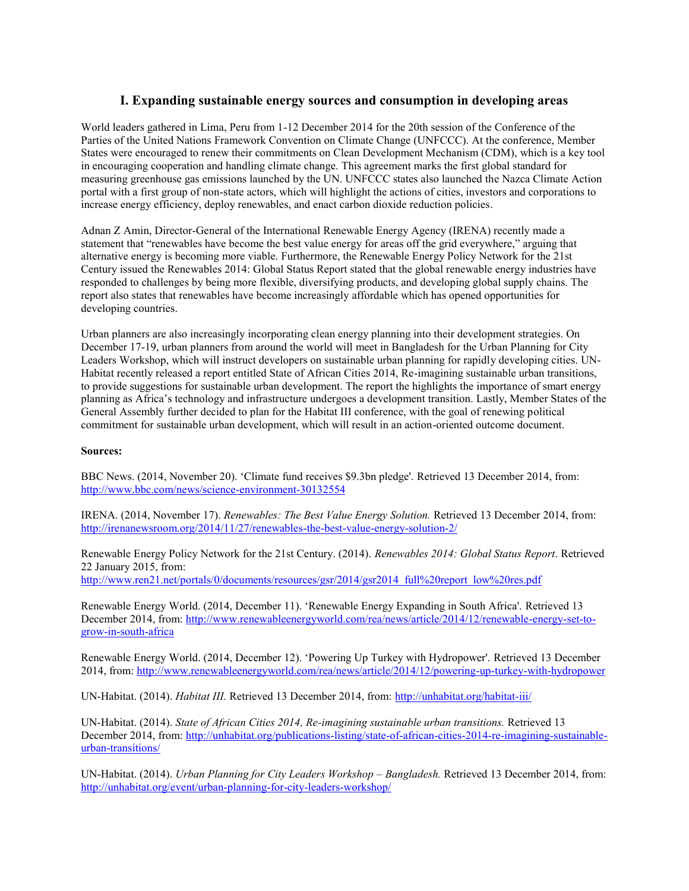## **I. Expanding sustainable energy sources and consumption in developing areas**

World leaders gathered in Lima, Peru from 1-12 December 2014 for the 20th session of the Conference of the Parties of the United Nations Framework Convention on Climate Change (UNFCCC). At the conference, Member States were encouraged to renew their commitments on Clean Development Mechanism (CDM), which is a key tool in encouraging cooperation and handling climate change. This agreement marks the first global standard for measuring greenhouse gas emissions launched by the UN. UNFCCC states also launched the Nazca Climate Action portal with a first group of non-state actors, which will highlight the actions of cities, investors and corporations to increase energy efficiency, deploy renewables, and enact carbon dioxide reduction policies.

Adnan Z Amin, Director-General of the International Renewable Energy Agency (IRENA) recently made a statement that "renewables have become the best value energy for areas off the grid everywhere," arguing that alternative energy is becoming more viable. Furthermore, the Renewable Energy Policy Network for the 21st Century issued the Renewables 2014: Global Status Report stated that the global renewable energy industries have responded to challenges by being more flexible, diversifying products, and developing global supply chains. The report also states that renewables have become increasingly affordable which has opened opportunities for developing countries.

Urban planners are also increasingly incorporating clean energy planning into their development strategies. On December 17-19, urban planners from around the world will meet in Bangladesh for the Urban Planning for City Leaders Workshop, which will instruct developers on sustainable urban planning for rapidly developing cities. UN-Habitat recently released a report entitled State of African Cities 2014, Re-imagining sustainable urban transitions, to provide suggestions for sustainable urban development. The report the highlights the importance of smart energy planning as Africa's technology and infrastructure undergoes a development transition. Lastly, Member States of the General Assembly further decided to plan for the Habitat III conference, with the goal of renewing political commitment for sustainable urban development, which will result in an action-oriented outcome document.

### **Sources:**

BBC News. (2014, November 20). 'Climate fund receives \$9.3bn pledge'. Retrieved 13 December 2014, from: <http://www.bbc.com/news/science-environment-30132554>

IRENA. (2014, November 17). *Renewables: The Best Value Energy Solution.* Retrieved 13 December 2014, from: <http://irenanewsroom.org/2014/11/27/renewables-the-best-value-energy-solution-2/>

Renewable Energy Policy Network for the 21st Century. (2014). *Renewables 2014: Global Status Report*. Retrieved 22 January 2015, from:

[http://www.ren21.net/portals/0/documents/resources/gsr/2014/gsr2014\\_full%20report\\_low%20res.pdf](http://www.ren21.net/portals/0/documents/resources/gsr/2014/gsr2014_full%20report_low%20res.pdf)

Renewable Energy World. (2014, December 11). 'Renewable Energy Expanding in South Africa'. Retrieved 13 December 2014, from: [http://www.renewableenergyworld.com/rea/news/article/2014/12/renewable-energy-set-to](http://www.renewableenergyworld.com/rea/news/article/2014/12/renewable-energy-set-to-grow-in-south-africa)[grow-in-south-africa](http://www.renewableenergyworld.com/rea/news/article/2014/12/renewable-energy-set-to-grow-in-south-africa)

Renewable Energy World. (2014, December 12). 'Powering Up Turkey with Hydropower'. Retrieved 13 December 2014, from[: http://www.renewableenergyworld.com/rea/news/article/2014/12/powering-up-turkey-with-hydropower](http://www.renewableenergyworld.com/rea/news/article/2014/12/powering-up-turkey-with-hydropower)

UN-Habitat. (2014). *Habitat III.* Retrieved 13 December 2014, from:<http://unhabitat.org/habitat-iii/>

UN-Habitat. (2014). *State of African Cities 2014, Re-imagining sustainable urban transitions.* Retrieved 13 December 2014, from: [http://unhabitat.org/publications-listing/state-of-african-cities-2014-re-imagining-sustainable](http://unhabitat.org/publications-listing/state-of-african-cities-2014-re-imagining-sustainable-urban-transitions/)[urban-transitions/](http://unhabitat.org/publications-listing/state-of-african-cities-2014-re-imagining-sustainable-urban-transitions/)

UN-Habitat. (2014). *Urban Planning for City Leaders Workshop - Bangladesh.* Retrieved 13 December 2014, from: <http://unhabitat.org/event/urban-planning-for-city-leaders-workshop/>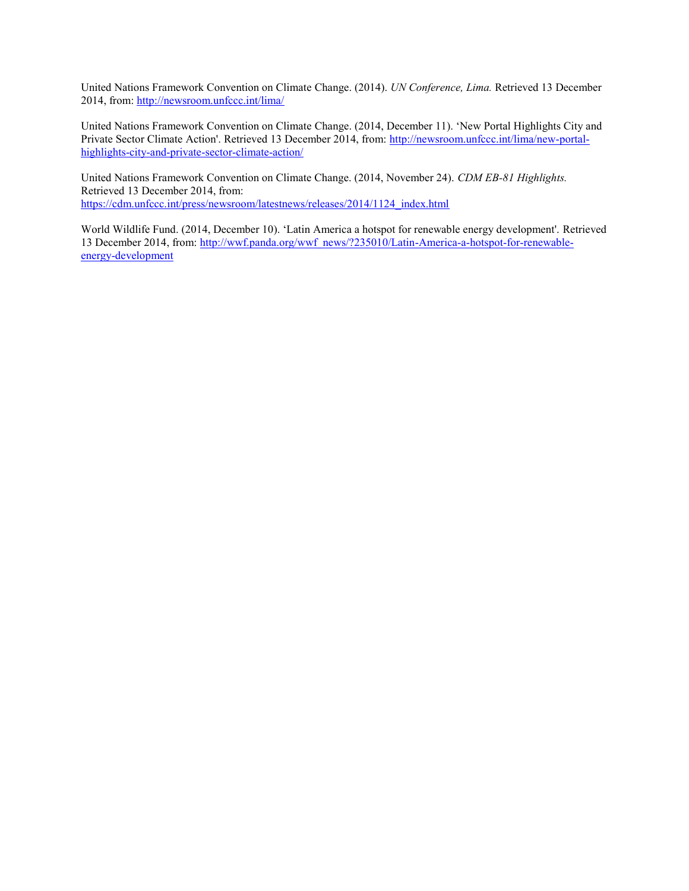United Nations Framework Convention on Climate Change. (2014). *UN Conference, Lima.* Retrieved 13 December 2014, from[: http://newsroom.unfccc.int/lima/](http://newsroom.unfccc.int/lima/)

United Nations Framework Convention on Climate Change. (2014, December 11). 'New Portal Highlights City and Private Sector Climate Action'. Retrieved 13 December 2014, from: [http://newsroom.unfccc.int/lima/new-portal](http://newsroom.unfccc.int/lima/new-portal-highlights-city-and-private-sector-climate-action/)[highlights-city-and-private-sector-climate-action/](http://newsroom.unfccc.int/lima/new-portal-highlights-city-and-private-sector-climate-action/)

United Nations Framework Convention on Climate Change. (2014, November 24). *CDM EB-81 Highlights.*  Retrieved 13 December 2014, from: [https://cdm.unfccc.int/press/newsroom/latestnews/releases/2014/1124\\_index.html](https://cdm.unfccc.int/press/newsroom/latestnews/releases/2014/1124_index.html)

World Wildlife Fund. (2014, December 10). 'Latin America a hotspot for renewable energy development'. Retrieved 13 December 2014, from: [http://wwf.panda.org/wwf\\_news/?235010/Latin-America-a-hotspot-for-renewable](http://wwf.panda.org/wwf_news/?235010/Latin-America-a-hotspot-for-renewable-energy-development)[energy-development](http://wwf.panda.org/wwf_news/?235010/Latin-America-a-hotspot-for-renewable-energy-development)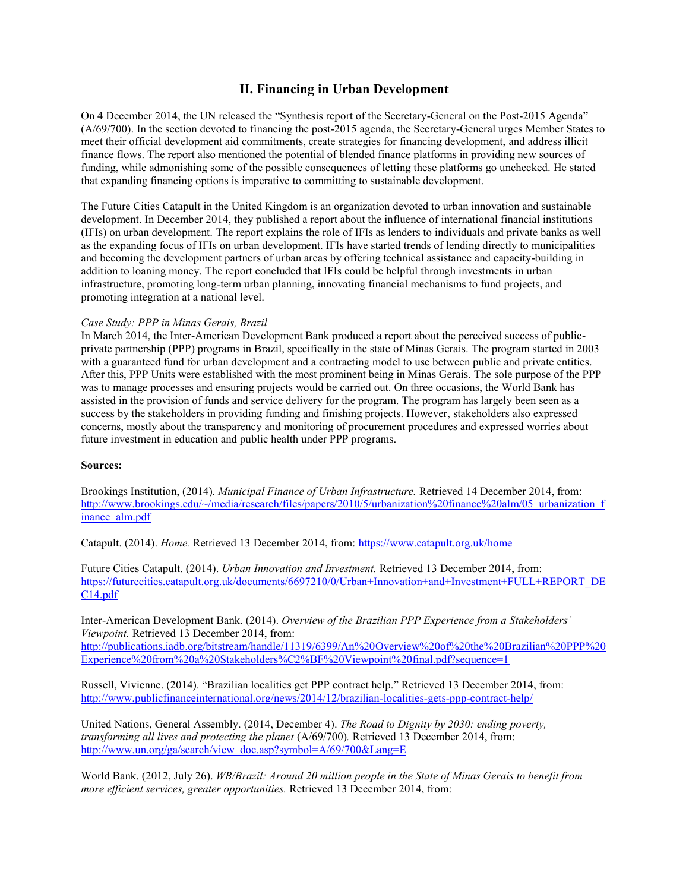# **II. Financing in Urban Development**

On 4 December 2014, the UN released the "Synthesis report of the Secretary-General on the Post-2015 Agenda" (A/69/700). In the section devoted to financing the post-2015 agenda, the Secretary-General urges Member States to meet their official development aid commitments, create strategies for financing development, and address illicit finance flows. The report also mentioned the potential of blended finance platforms in providing new sources of funding, while admonishing some of the possible consequences of letting these platforms go unchecked. He stated that expanding financing options is imperative to committing to sustainable development.

The Future Cities Catapult in the United Kingdom is an organization devoted to urban innovation and sustainable development. In December 2014, they published a report about the influence of international financial institutions (IFIs) on urban development. The report explains the role of IFIs as lenders to individuals and private banks as well as the expanding focus of IFIs on urban development. IFIs have started trends of lending directly to municipalities and becoming the development partners of urban areas by offering technical assistance and capacity-building in addition to loaning money. The report concluded that IFIs could be helpful through investments in urban infrastructure, promoting long-term urban planning, innovating financial mechanisms to fund projects, and promoting integration at a national level.

### *Case Study: PPP in Minas Gerais, Brazil*

In March 2014, the Inter-American Development Bank produced a report about the perceived success of publicprivate partnership (PPP) programs in Brazil, specifically in the state of Minas Gerais. The program started in 2003 with a guaranteed fund for urban development and a contracting model to use between public and private entities. After this, PPP Units were established with the most prominent being in Minas Gerais. The sole purpose of the PPP was to manage processes and ensuring projects would be carried out. On three occasions, the World Bank has assisted in the provision of funds and service delivery for the program. The program has largely been seen as a success by the stakeholders in providing funding and finishing projects. However, stakeholders also expressed concerns, mostly about the transparency and monitoring of procurement procedures and expressed worries about future investment in education and public health under PPP programs.

### **Sources:**

Brookings Institution, (2014). *Municipal Finance of Urban Infrastructure.* Retrieved 14 December 2014, from: [http://www.brookings.edu/~/media/research/files/papers/2010/5/urbanization%20finance%20alm/05\\_urbanization\\_f](http://www.brookings.edu/~/media/research/files/papers/2010/5/urbanization%20finance%20alm/05_urbanization_finance_alm.pdf) [inance\\_alm.pdf](http://www.brookings.edu/~/media/research/files/papers/2010/5/urbanization%20finance%20alm/05_urbanization_finance_alm.pdf)

Catapult. (2014). *Home.* Retrieved 13 December 2014, from:<https://www.catapult.org.uk/home>

Future Cities Catapult. (2014). *Urban Innovation and Investment.* Retrieved 13 December 2014, from: [https://futurecities.catapult.org.uk/documents/6697210/0/Urban+Innovation+and+Investment+FULL+REPORT\\_DE](https://futurecities.catapult.org.uk/documents/6697210/0/Urban+Innovation+and+Investment+FULL+REPORT_DEC14.pdf) [C14.pdf](https://futurecities.catapult.org.uk/documents/6697210/0/Urban+Innovation+and+Investment+FULL+REPORT_DEC14.pdf)

Inter-American Development Bank. (2014). *Overview of the Brazilian PPP Experience from a Stakeholders' Viewpoint.* Retrieved 13 December 2014, from: [http://publications.iadb.org/bitstream/handle/11319/6399/An%20Overview%20of%20the%20Brazilian%20PPP%20](http://publications.iadb.org/bitstream/handle/11319/6399/An%20Overview%20of%20the%20Brazilian%20PPP%20Experience%20from%20a%20Stakeholders%C2%BF%20Viewpoint%20final.pdf?sequence=1) [Experience%20from%20a%20Stakeholders%C2%BF%20Viewpoint%20final.pdf?sequence=1](http://publications.iadb.org/bitstream/handle/11319/6399/An%20Overview%20of%20the%20Brazilian%20PPP%20Experience%20from%20a%20Stakeholders%C2%BF%20Viewpoint%20final.pdf?sequence=1)

Russell, Vivienne. (2014). "Brazilian localities get PPP contract help." Retrieved 13 December 2014, from: <http://www.publicfinanceinternational.org/news/2014/12/brazilian-localities-gets-ppp-contract-help/>

United Nations, General Assembly. (2014, December 4). *The Road to Dignity by 2030: ending poverty, transforming all lives and protecting the planet (A/69/700)*. Retrieved 13 December 2014, from: [http://www.un.org/ga/search/view\\_doc.asp?symbol=A/69/700&Lang=E](http://www.un.org/ga/search/view_doc.asp?symbol=A/69/700&Lang=E)

World Bank. (2012, July 26). *WB/Brazil: Around 20 million people in the State of Minas Gerais to benefit from more efficient services, greater opportunities.* Retrieved 13 December 2014, from: